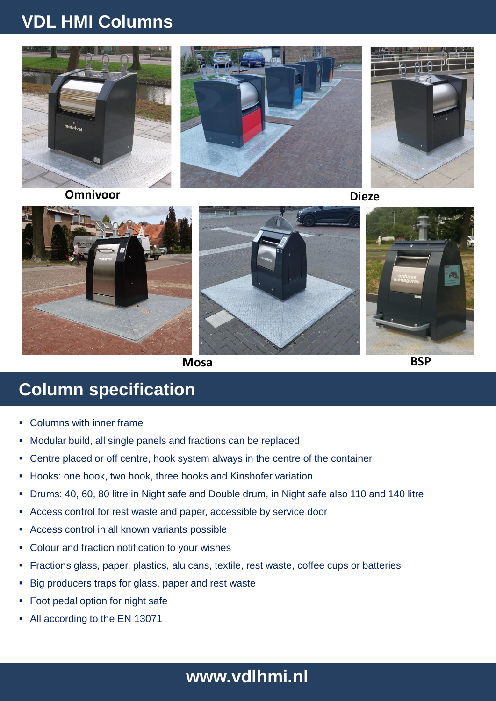# **VDL HMI Columns**



**Omnivoor Dieze**





**Mosa BSP**

## **Column specification**

- Columns with inner frame
- Modular build, all single panels and fractions can be replaced
- Centre placed or off centre, hook system always in the centre of the container
- Hooks: one hook, two hook, three hooks and Kinshofer variation
- Drums: 40, 60, 80 litre in Night safe and Double drum, in Night safe also 110 and 140 litre
- Access control for rest waste and paper, accessible by service door
- Access control in all known variants possible
- **-** Colour and fraction notification to your wishes
- Fractions glass, paper, plastics, alu cans, textile, rest waste, coffee cups or batteries
- Big producers traps for glass, paper and rest waste
- Foot pedal option for night safe
- All according to the EN 13071

#### **The road to zero emission www.vdlhmi.nl**